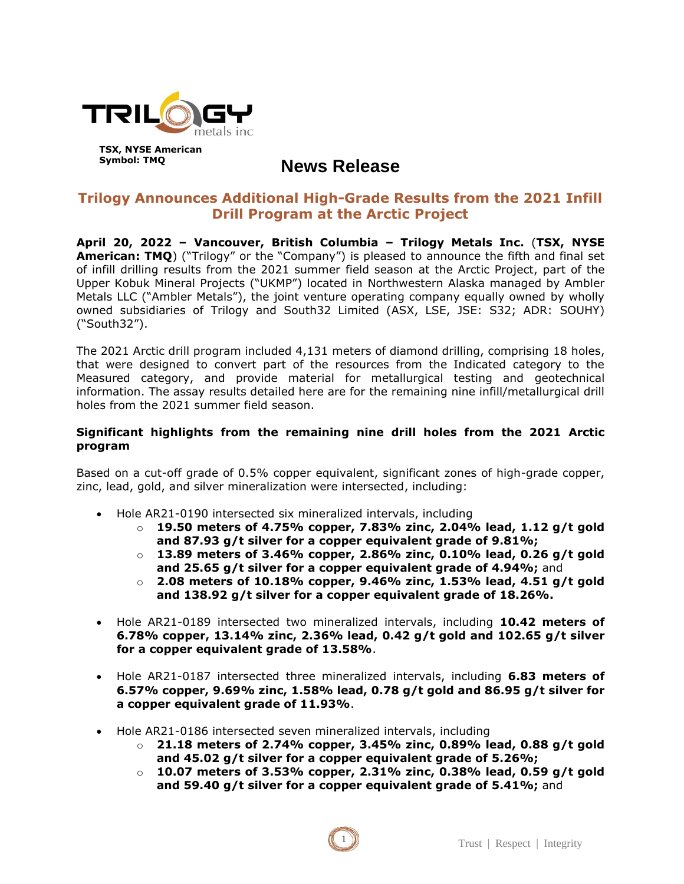

# **News Release**

# **Trilogy Announces Additional High-Grade Results from the 2021 Infill Drill Program at the Arctic Project**

**April 20, 2022 – Vancouver, British Columbia – Trilogy Metals Inc.** (**TSX, NYSE American: TMQ**) ("Trilogy" or the "Company") is pleased to announce the fifth and final set of infill drilling results from the 2021 summer field season at the Arctic Project, part of the Upper Kobuk Mineral Projects ("UKMP") located in Northwestern Alaska managed by Ambler Metals LLC ("Ambler Metals"), the joint venture operating company equally owned by wholly owned subsidiaries of Trilogy and South32 Limited (ASX, LSE, JSE: S32; ADR: SOUHY) ("South32").

The 2021 Arctic drill program included 4,131 meters of diamond drilling, comprising 18 holes, that were designed to convert part of the resources from the Indicated category to the Measured category, and provide material for metallurgical testing and geotechnical information. The assay results detailed here are for the remaining nine infill/metallurgical drill holes from the 2021 summer field season.

## **Significant highlights from the remaining nine drill holes from the 2021 Arctic program**

Based on a cut-off grade of 0.5% copper equivalent, significant zones of high-grade copper, zinc, lead, gold, and silver mineralization were intersected, including:

- Hole AR21-0190 intersected six mineralized intervals, including
	- o **19.50 meters of 4.75% copper, 7.83% zinc, 2.04% lead, 1.12 g/t gold and 87.93 g/t silver for a copper equivalent grade of 9.81%;**
	- o **13.89 meters of 3.46% copper, 2.86% zinc, 0.10% lead, 0.26 g/t gold and 25.65 g/t silver for a copper equivalent grade of 4.94%;** and
	- o **2.08 meters of 10.18% copper, 9.46% zinc, 1.53% lead, 4.51 g/t gold and 138.92 g/t silver for a copper equivalent grade of 18.26%.**
- Hole AR21-0189 intersected two mineralized intervals, including **10.42 meters of 6.78% copper, 13.14% zinc, 2.36% lead, 0.42 g/t gold and 102.65 g/t silver for a copper equivalent grade of 13.58%**.
- Hole AR21-0187 intersected three mineralized intervals, including **6.83 meters of 6.57% copper, 9.69% zinc, 1.58% lead, 0.78 g/t gold and 86.95 g/t silver for a copper equivalent grade of 11.93%**.
- Hole AR21-0186 intersected seven mineralized intervals, including
	- o **21.18 meters of 2.74% copper, 3.45% zinc, 0.89% lead, 0.88 g/t gold and 45.02 g/t silver for a copper equivalent grade of 5.26%;**
	- o **10.07 meters of 3.53% copper, 2.31% zinc, 0.38% lead, 0.59 g/t gold and 59.40 g/t silver for a copper equivalent grade of 5.41%;** and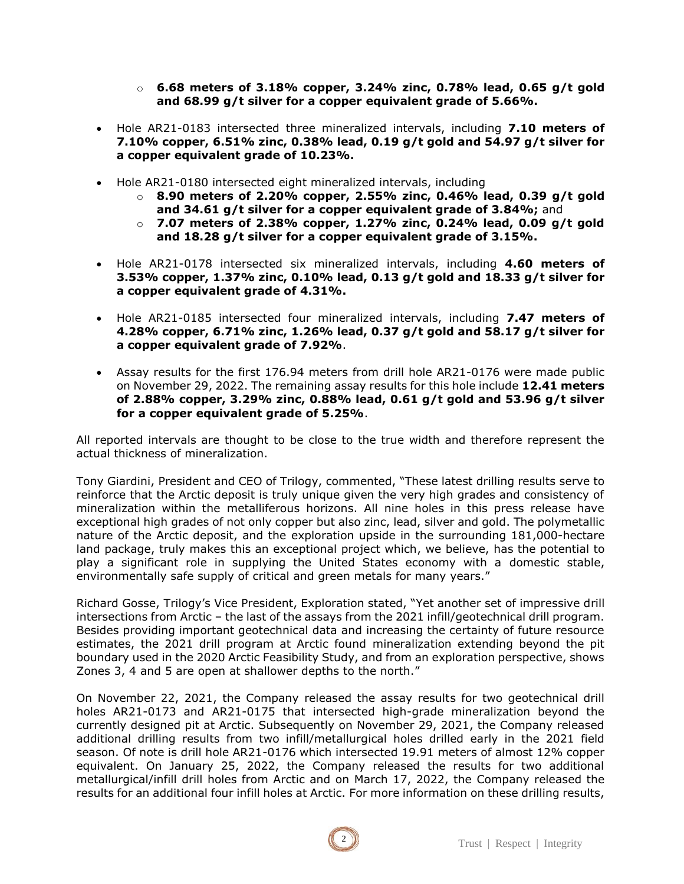- o **6.68 meters of 3.18% copper, 3.24% zinc, 0.78% lead, 0.65 g/t gold and 68.99 g/t silver for a copper equivalent grade of 5.66%.**
- Hole AR21-0183 intersected three mineralized intervals, including **7.10 meters of 7.10% copper, 6.51% zinc, 0.38% lead, 0.19 g/t gold and 54.97 g/t silver for a copper equivalent grade of 10.23%.**
- Hole AR21-0180 intersected eight mineralized intervals, including
	- o **8.90 meters of 2.20% copper, 2.55% zinc, 0.46% lead, 0.39 g/t gold and 34.61 g/t silver for a copper equivalent grade of 3.84%;** and
	- o **7.07 meters of 2.38% copper, 1.27% zinc, 0.24% lead, 0.09 g/t gold and 18.28 g/t silver for a copper equivalent grade of 3.15%.**
- Hole AR21-0178 intersected six mineralized intervals, including **4.60 meters of 3.53% copper, 1.37% zinc, 0.10% lead, 0.13 g/t gold and 18.33 g/t silver for a copper equivalent grade of 4.31%.**
- Hole AR21-0185 intersected four mineralized intervals, including **7.47 meters of 4.28% copper, 6.71% zinc, 1.26% lead, 0.37 g/t gold and 58.17 g/t silver for a copper equivalent grade of 7.92%**.
- Assay results for the first 176.94 meters from drill hole AR21-0176 were made public on November 29, 2022. The remaining assay results for this hole include **12.41 meters of 2.88% copper, 3.29% zinc, 0.88% lead, 0.61 g/t gold and 53.96 g/t silver for a copper equivalent grade of 5.25%**.

All reported intervals are thought to be close to the true width and therefore represent the actual thickness of mineralization.

Tony Giardini, President and CEO of Trilogy, commented, "These latest drilling results serve to reinforce that the Arctic deposit is truly unique given the very high grades and consistency of mineralization within the metalliferous horizons. All nine holes in this press release have exceptional high grades of not only copper but also zinc, lead, silver and gold. The polymetallic nature of the Arctic deposit, and the exploration upside in the surrounding 181,000-hectare land package, truly makes this an exceptional project which, we believe, has the potential to play a significant role in supplying the United States economy with a domestic stable, environmentally safe supply of critical and green metals for many years."

Richard Gosse, Trilogy's Vice President, Exploration stated, "Yet another set of impressive drill intersections from Arctic – the last of the assays from the 2021 infill/geotechnical drill program. Besides providing important geotechnical data and increasing the certainty of future resource estimates, the 2021 drill program at Arctic found mineralization extending beyond the pit boundary used in the 2020 Arctic Feasibility Study, and from an exploration perspective, shows Zones 3, 4 and 5 are open at shallower depths to the north."

On November 22, 2021, the Company released the assay results for two geotechnical drill holes AR21-0173 and AR21-0175 that intersected high-grade mineralization beyond the currently designed pit at Arctic. Subsequently on November 29, 2021, the Company released additional drilling results from two infill/metallurgical holes drilled early in the 2021 field season. Of note is drill hole AR21-0176 which intersected 19.91 meters of almost 12% copper equivalent. On January 25, 2022, the Company released the results for two additional metallurgical/infill drill holes from Arctic and on March 17, 2022, the Company released the results for an additional four infill holes at Arctic. For more information on these drilling results,

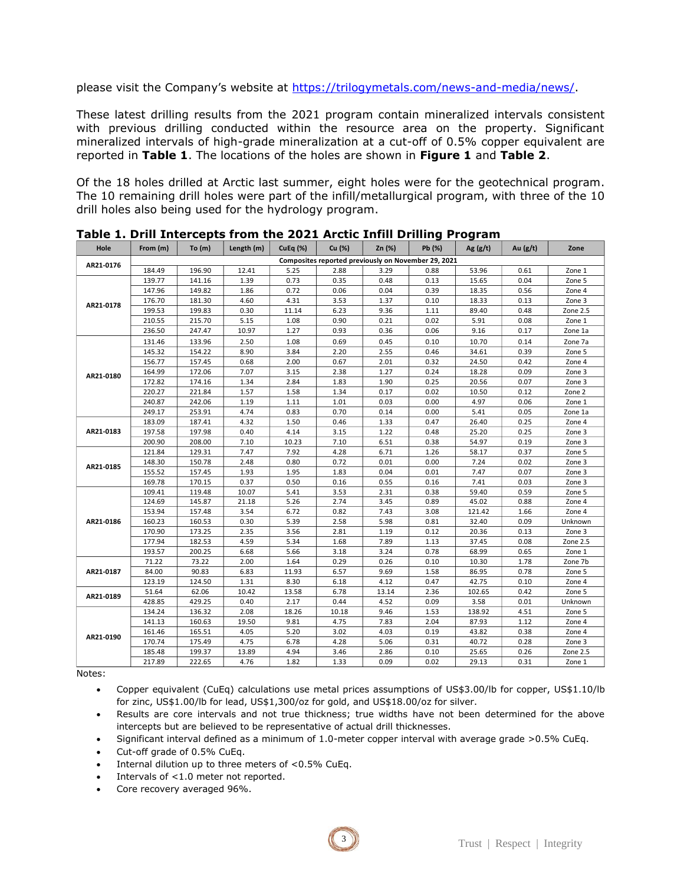please visit the Company's website at [https://trilogymetals.com/news-and-media/news/.](https://trilogymetals.com/news-and-media/news/)

These latest drilling results from the 2021 program contain mineralized intervals consistent with previous drilling conducted within the resource area on the property. Significant mineralized intervals of high-grade mineralization at a cut-off of 0.5% copper equivalent are reported in **Table 1**. The locations of the holes are shown in **Figure 1** and **Table 2**.

Of the 18 holes drilled at Arctic last summer, eight holes were for the geotechnical program. The 10 remaining drill holes were part of the infill/metallurgical program, with three of the 10 drill holes also being used for the hydrology program.

| Hole      | From (m)                                            | To $(m)$ | Length (m) | <b>CuEq (%)</b> | Cu (%) | Zn (%) | Pb (%) | Ag $(g/t)$ | Au $(g/t)$ | Zone     |
|-----------|-----------------------------------------------------|----------|------------|-----------------|--------|--------|--------|------------|------------|----------|
| AR21-0176 | Composites reported previously on November 29, 2021 |          |            |                 |        |        |        |            |            |          |
|           | 184.49                                              | 196.90   | 12.41      | 5.25            | 2.88   | 3.29   | 0.88   | 53.96      | 0.61       | Zone 1   |
| AR21-0178 | 139.77                                              | 141.16   | 1.39       | 0.73            | 0.35   | 0.48   | 0.13   | 15.65      | 0.04       | Zone 5   |
|           | 147.96                                              | 149.82   | 1.86       | 0.72            | 0.06   | 0.04   | 0.39   | 18.35      | 0.56       | Zone 4   |
|           | 176.70                                              | 181.30   | 4.60       | 4.31            | 3.53   | 1.37   | 0.10   | 18.33      | 0.13       | Zone 3   |
|           | 199.53                                              | 199.83   | 0.30       | 11.14           | 6.23   | 9.36   | 1.11   | 89.40      | 0.48       | Zone 2.5 |
|           | 210.55                                              | 215.70   | 5.15       | 1.08            | 0.90   | 0.21   | 0.02   | 5.91       | 0.08       | Zone 1   |
|           | 236.50                                              | 247.47   | 10.97      | 1.27            | 0.93   | 0.36   | 0.06   | 9.16       | 0.17       | Zone 1a  |
| AR21-0180 | 131.46                                              | 133.96   | 2.50       | 1.08            | 0.69   | 0.45   | 0.10   | 10.70      | 0.14       | Zone 7a  |
|           | 145.32                                              | 154.22   | 8.90       | 3.84            | 2.20   | 2.55   | 0.46   | 34.61      | 0.39       | Zone 5   |
|           | 156.77                                              | 157.45   | 0.68       | 2.00            | 0.67   | 2.01   | 0.32   | 24.50      | 0.42       | Zone 4   |
|           | 164.99                                              | 172.06   | 7.07       | 3.15            | 2.38   | 1.27   | 0.24   | 18.28      | 0.09       | Zone 3   |
|           | 172.82                                              | 174.16   | 1.34       | 2.84            | 1.83   | 1.90   | 0.25   | 20.56      | 0.07       | Zone 3   |
|           | 220.27                                              | 221.84   | 1.57       | 1.58            | 1.34   | 0.17   | 0.02   | 10.50      | 0.12       | Zone 2   |
|           | 240.87                                              | 242.06   | 1.19       | 1.11            | 1.01   | 0.03   | 0.00   | 4.97       | 0.06       | Zone 1   |
|           | 249.17                                              | 253.91   | 4.74       | 0.83            | 0.70   | 0.14   | 0.00   | 5.41       | 0.05       | Zone 1a  |
| AR21-0183 | 183.09                                              | 187.41   | 4.32       | 1.50            | 0.46   | 1.33   | 0.47   | 26.40      | 0.25       | Zone 4   |
|           | 197.58                                              | 197.98   | 0.40       | 4.14            | 3.15   | 1.22   | 0.48   | 25.20      | 0.25       | Zone 3   |
|           | 200.90                                              | 208.00   | 7.10       | 10.23           | 7.10   | 6.51   | 0.38   | 54.97      | 0.19       | Zone 3   |
| AR21-0185 | 121.84                                              | 129.31   | 7.47       | 7.92            | 4.28   | 6.71   | 1.26   | 58.17      | 0.37       | Zone 5   |
|           | 148.30                                              | 150.78   | 2.48       | 0.80            | 0.72   | 0.01   | 0.00   | 7.24       | 0.02       | Zone 3   |
|           | 155.52                                              | 157.45   | 1.93       | 1.95            | 1.83   | 0.04   | 0.01   | 7.47       | 0.07       | Zone 3   |
|           | 169.78                                              | 170.15   | 0.37       | 0.50            | 0.16   | 0.55   | 0.16   | 7.41       | 0.03       | Zone 3   |
| AR21-0186 | 109.41                                              | 119.48   | 10.07      | 5.41            | 3.53   | 2.31   | 0.38   | 59.40      | 0.59       | Zone 5   |
|           | 124.69                                              | 145.87   | 21.18      | 5.26            | 2.74   | 3.45   | 0.89   | 45.02      | 0.88       | Zone 4   |
|           | 153.94                                              | 157.48   | 3.54       | 6.72            | 0.82   | 7.43   | 3.08   | 121.42     | 1.66       | Zone 4   |
|           | 160.23                                              | 160.53   | 0.30       | 5.39            | 2.58   | 5.98   | 0.81   | 32.40      | 0.09       | Unknown  |
|           | 170.90                                              | 173.25   | 2.35       | 3.56            | 2.81   | 1.19   | 0.12   | 20.36      | 0.13       | Zone 3   |
|           | 177.94                                              | 182.53   | 4.59       | 5.34            | 1.68   | 7.89   | 1.13   | 37.45      | 0.08       | Zone 2.5 |
|           | 193.57                                              | 200.25   | 6.68       | 5.66            | 3.18   | 3.24   | 0.78   | 68.99      | 0.65       | Zone 1   |
| AR21-0187 | 71.22                                               | 73.22    | 2.00       | 1.64            | 0.29   | 0.26   | 0.10   | 10.30      | 1.78       | Zone 7b  |
|           | 84.00                                               | 90.83    | 6.83       | 11.93           | 6.57   | 9.69   | 1.58   | 86.95      | 0.78       | Zone 5   |
|           | 123.19                                              | 124.50   | 1.31       | 8.30            | 6.18   | 4.12   | 0.47   | 42.75      | 0.10       | Zone 4   |
| AR21-0189 | 51.64                                               | 62.06    | 10.42      | 13.58           | 6.78   | 13.14  | 2.36   | 102.65     | 0.42       | Zone 5   |
|           | 428.85                                              | 429.25   | 0.40       | 2.17            | 0.44   | 4.52   | 0.09   | 3.58       | 0.01       | Unknown  |
| AR21-0190 | 134.24                                              | 136.32   | 2.08       | 18.26           | 10.18  | 9.46   | 1.53   | 138.92     | 4.51       | Zone 5   |
|           | 141.13                                              | 160.63   | 19.50      | 9.81            | 4.75   | 7.83   | 2.04   | 87.93      | 1.12       | Zone 4   |
|           | 161.46                                              | 165.51   | 4.05       | 5.20            | 3.02   | 4.03   | 0.19   | 43.82      | 0.38       | Zone 4   |
|           | 170.74                                              | 175.49   | 4.75       | 6.78            | 4.28   | 5.06   | 0.31   | 40.72      | 0.28       | Zone 3   |
|           | 185.48                                              | 199.37   | 13.89      | 4.94            | 3.46   | 2.86   | 0.10   | 25.65      | 0.26       | Zone 2.5 |
|           | 217.89                                              | 222.65   | 4.76       | 1.82            | 1.33   | 0.09   | 0.02   | 29.13      | 0.31       | Zone 1   |

**Table 1. Drill Intercepts from the 2021 Arctic Infill Drilling Program** 

Notes:

• Copper equivalent (CuEq) calculations use metal prices assumptions of US\$3.00/lb for copper, US\$1.10/lb for zinc, US\$1.00/lb for lead, US\$1,300/oz for gold, and US\$18.00/oz for silver.

Results are core intervals and not true thickness; true widths have not been determined for the above intercepts but are believed to be representative of actual drill thicknesses.

• Significant interval defined as a minimum of 1.0-meter copper interval with average grade >0.5% CuEq.

- Cut-off grade of 0.5% CuEq.
- Internal dilution up to three meters of  $< 0.5\%$  CuEq.
- Intervals of <1.0 meter not reported.
- Core recovery averaged 96%.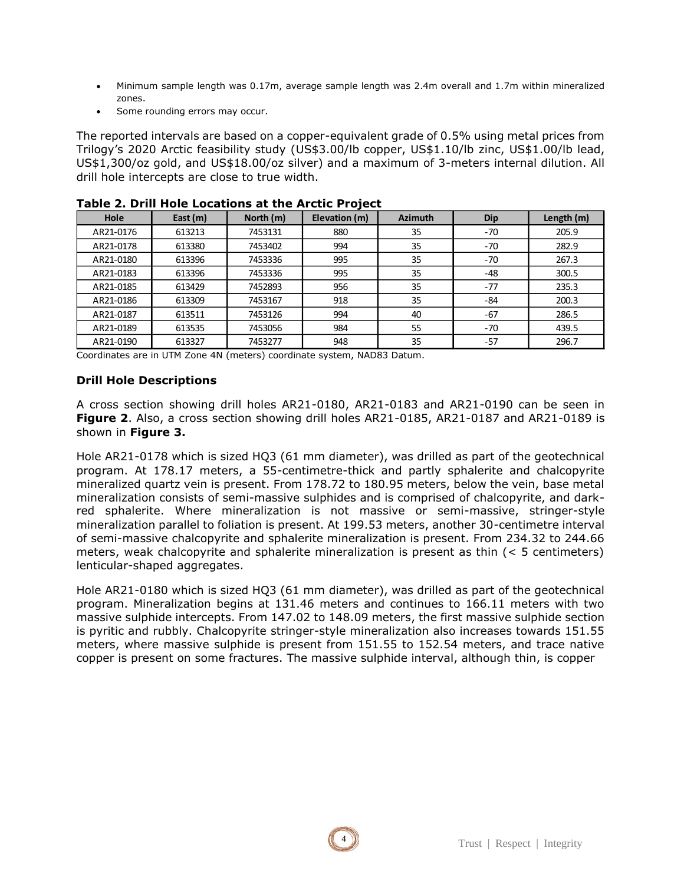- Minimum sample length was 0.17m, average sample length was 2.4m overall and 1.7m within mineralized zones.
- Some rounding errors may occur.

The reported intervals are based on a copper-equivalent grade of 0.5% using metal prices from Trilogy's 2020 Arctic feasibility study (US\$3.00/lb copper, US\$1.10/lb zinc, US\$1.00/lb lead, US\$1,300/oz gold, and US\$18.00/oz silver) and a maximum of 3-meters internal dilution. All drill hole intercepts are close to true width.

| Hole      | East (m) | North (m) | Elevation (m) | <b>Azimuth</b> | Dip   | Length (m) |
|-----------|----------|-----------|---------------|----------------|-------|------------|
| AR21-0176 | 613213   | 7453131   | 880           | 35             | $-70$ | 205.9      |
| AR21-0178 | 613380   | 7453402   | 994           | 35             | $-70$ | 282.9      |
| AR21-0180 | 613396   | 7453336   | 995           | 35             | $-70$ | 267.3      |
| AR21-0183 | 613396   | 7453336   | 995           | 35             | -48   | 300.5      |
| AR21-0185 | 613429   | 7452893   | 956           | 35             | $-77$ | 235.3      |
| AR21-0186 | 613309   | 7453167   | 918           | 35             | $-84$ | 200.3      |
| AR21-0187 | 613511   | 7453126   | 994           | 40             | -67   | 286.5      |
| AR21-0189 | 613535   | 7453056   | 984           | 55             | $-70$ | 439.5      |
| AR21-0190 | 613327   | 7453277   | 948           | 35             | $-57$ | 296.7      |

#### **Table 2. Drill Hole Locations at the Arctic Project**

Coordinates are in UTM Zone 4N (meters) coordinate system, NAD83 Datum.

# **Drill Hole Descriptions**

A cross section showing drill holes AR21-0180, AR21-0183 and AR21-0190 can be seen in **Figure 2**. Also, a cross section showing drill holes AR21-0185, AR21-0187 and AR21-0189 is shown in **Figure 3.**

Hole AR21-0178 which is sized HQ3 (61 mm diameter), was drilled as part of the geotechnical program. At 178.17 meters, a 55-centimetre-thick and partly sphalerite and chalcopyrite mineralized quartz vein is present. From 178.72 to 180.95 meters, below the vein, base metal mineralization consists of semi-massive sulphides and is comprised of chalcopyrite, and darkred sphalerite. Where mineralization is not massive or semi-massive, stringer-style mineralization parallel to foliation is present. At 199.53 meters, another 30-centimetre interval of semi-massive chalcopyrite and sphalerite mineralization is present. From 234.32 to 244.66 meters, weak chalcopyrite and sphalerite mineralization is present as thin (< 5 centimeters) lenticular-shaped aggregates.

Hole AR21-0180 which is sized HQ3 (61 mm diameter), was drilled as part of the geotechnical program. Mineralization begins at 131.46 meters and continues to 166.11 meters with two massive sulphide intercepts. From 147.02 to 148.09 meters, the first massive sulphide section is pyritic and rubbly. Chalcopyrite stringer-style mineralization also increases towards 151.55 meters, where massive sulphide is present from 151.55 to 152.54 meters, and trace native copper is present on some fractures. The massive sulphide interval, although thin, is copper

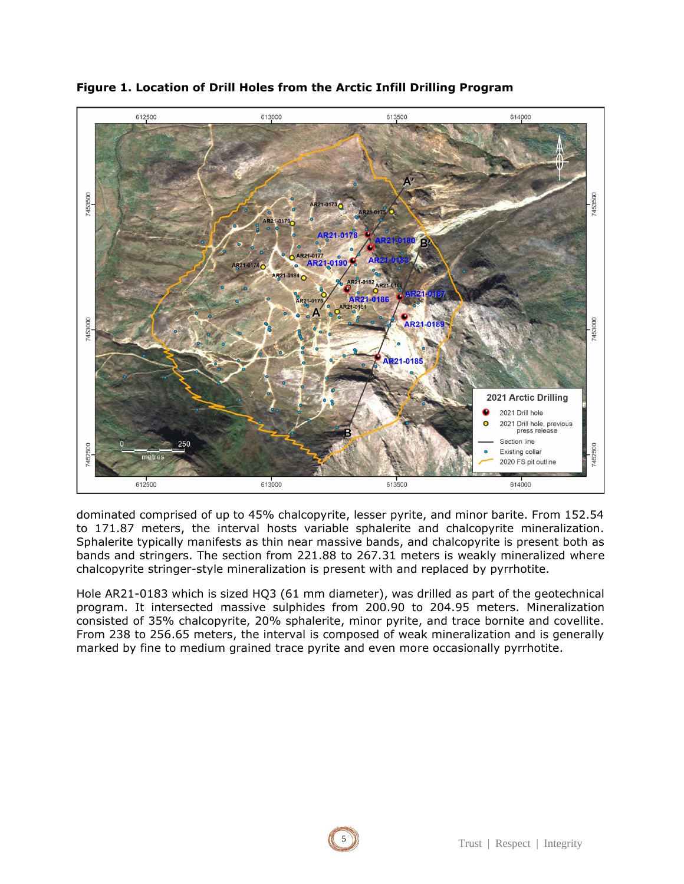

# **Figure 1. Location of Drill Holes from the Arctic Infill Drilling Program**

dominated comprised of up to 45% chalcopyrite, lesser pyrite, and minor barite. From 152.54 to 171.87 meters, the interval hosts variable sphalerite and chalcopyrite mineralization. Sphalerite typically manifests as thin near massive bands, and chalcopyrite is present both as bands and stringers. The section from 221.88 to 267.31 meters is weakly mineralized where chalcopyrite stringer-style mineralization is present with and replaced by pyrrhotite.

Hole AR21-0183 which is sized HQ3 (61 mm diameter), was drilled as part of the geotechnical program. It intersected massive sulphides from 200.90 to 204.95 meters. Mineralization consisted of 35% chalcopyrite, 20% sphalerite, minor pyrite, and trace bornite and covellite. From 238 to 256.65 meters, the interval is composed of weak mineralization and is generally marked by fine to medium grained trace pyrite and even more occasionally pyrrhotite.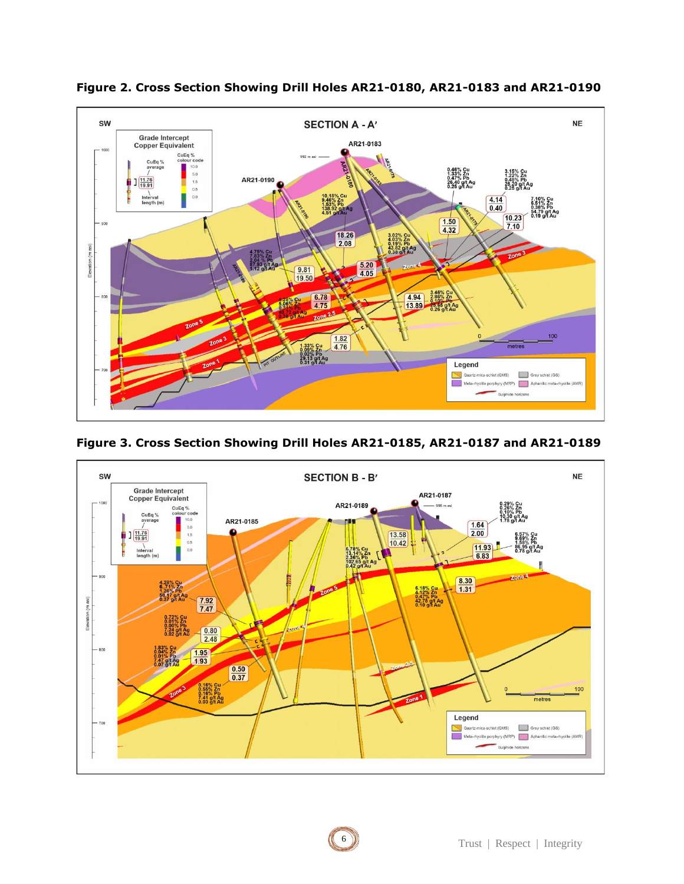

**Figure 2. Cross Section Showing Drill Holes AR21-0180, AR21-0183 and AR21-0190**



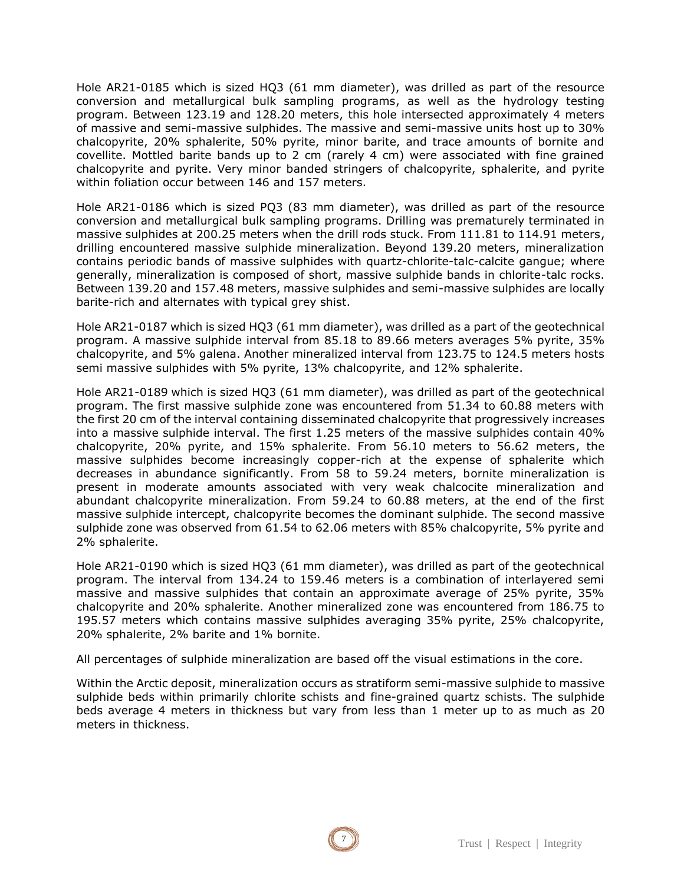Hole AR21-0185 which is sized HQ3 (61 mm diameter), was drilled as part of the resource conversion and metallurgical bulk sampling programs, as well as the hydrology testing program. Between 123.19 and 128.20 meters, this hole intersected approximately 4 meters of massive and semi-massive sulphides. The massive and semi-massive units host up to 30% chalcopyrite, 20% sphalerite, 50% pyrite, minor barite, and trace amounts of bornite and covellite. Mottled barite bands up to 2 cm (rarely 4 cm) were associated with fine grained chalcopyrite and pyrite. Very minor banded stringers of chalcopyrite, sphalerite, and pyrite within foliation occur between 146 and 157 meters.

Hole AR21-0186 which is sized PQ3 (83 mm diameter), was drilled as part of the resource conversion and metallurgical bulk sampling programs. Drilling was prematurely terminated in massive sulphides at 200.25 meters when the drill rods stuck. From 111.81 to 114.91 meters, drilling encountered massive sulphide mineralization. Beyond 139.20 meters, mineralization contains periodic bands of massive sulphides with quartz-chlorite-talc-calcite gangue; where generally, mineralization is composed of short, massive sulphide bands in chlorite-talc rocks. Between 139.20 and 157.48 meters, massive sulphides and semi-massive sulphides are locally barite-rich and alternates with typical grey shist.

Hole AR21-0187 which is sized HQ3 (61 mm diameter), was drilled as a part of the geotechnical program. A massive sulphide interval from 85.18 to 89.66 meters averages 5% pyrite, 35% chalcopyrite, and 5% galena. Another mineralized interval from 123.75 to 124.5 meters hosts semi massive sulphides with 5% pyrite, 13% chalcopyrite, and 12% sphalerite.

Hole AR21-0189 which is sized HQ3 (61 mm diameter), was drilled as part of the geotechnical program. The first massive sulphide zone was encountered from 51.34 to 60.88 meters with the first 20 cm of the interval containing disseminated chalcopyrite that progressively increases into a massive sulphide interval. The first 1.25 meters of the massive sulphides contain 40% chalcopyrite, 20% pyrite, and 15% sphalerite. From 56.10 meters to 56.62 meters, the massive sulphides become increasingly copper-rich at the expense of sphalerite which decreases in abundance significantly. From 58 to 59.24 meters, bornite mineralization is present in moderate amounts associated with very weak chalcocite mineralization and abundant chalcopyrite mineralization. From 59.24 to 60.88 meters, at the end of the first massive sulphide intercept, chalcopyrite becomes the dominant sulphide. The second massive sulphide zone was observed from 61.54 to 62.06 meters with 85% chalcopyrite, 5% pyrite and 2% sphalerite.

Hole AR21-0190 which is sized HQ3 (61 mm diameter), was drilled as part of the geotechnical program. The interval from 134.24 to 159.46 meters is a combination of interlayered semi massive and massive sulphides that contain an approximate average of 25% pyrite, 35% chalcopyrite and 20% sphalerite. Another mineralized zone was encountered from 186.75 to 195.57 meters which contains massive sulphides averaging 35% pyrite, 25% chalcopyrite, 20% sphalerite, 2% barite and 1% bornite.

All percentages of sulphide mineralization are based off the visual estimations in the core.

Within the Arctic deposit, mineralization occurs as stratiform semi-massive sulphide to massive sulphide beds within primarily chlorite schists and fine-grained quartz schists. The sulphide beds average 4 meters in thickness but vary from less than 1 meter up to as much as 20 meters in thickness.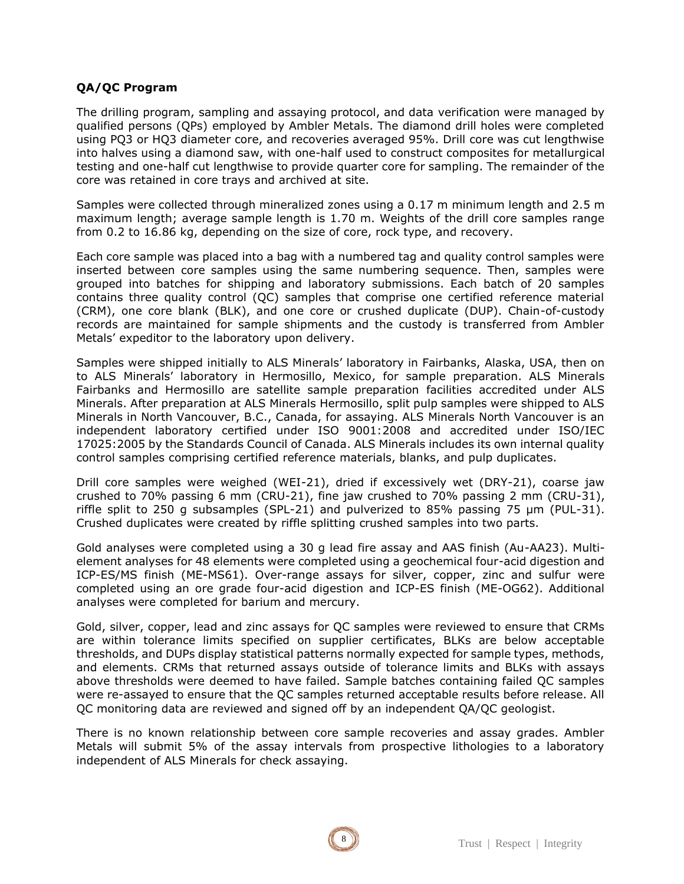# **QA/QC Program**

The drilling program, sampling and assaying protocol, and data verification were managed by qualified persons (QPs) employed by Ambler Metals. The diamond drill holes were completed using PQ3 or HQ3 diameter core, and recoveries averaged 95%. Drill core was cut lengthwise into halves using a diamond saw, with one-half used to construct composites for metallurgical testing and one-half cut lengthwise to provide quarter core for sampling. The remainder of the core was retained in core trays and archived at site.

Samples were collected through mineralized zones using a 0.17 m minimum length and 2.5 m maximum length; average sample length is 1.70 m. Weights of the drill core samples range from 0.2 to 16.86 kg, depending on the size of core, rock type, and recovery.

Each core sample was placed into a bag with a numbered tag and quality control samples were inserted between core samples using the same numbering sequence. Then, samples were grouped into batches for shipping and laboratory submissions. Each batch of 20 samples contains three quality control (QC) samples that comprise one certified reference material (CRM), one core blank (BLK), and one core or crushed duplicate (DUP). Chain-of-custody records are maintained for sample shipments and the custody is transferred from Ambler Metals' expeditor to the laboratory upon delivery.

Samples were shipped initially to ALS Minerals' laboratory in Fairbanks, Alaska, USA, then on to ALS Minerals' laboratory in Hermosillo, Mexico, for sample preparation. ALS Minerals Fairbanks and Hermosillo are satellite sample preparation facilities accredited under ALS Minerals. After preparation at ALS Minerals Hermosillo, split pulp samples were shipped to ALS Minerals in North Vancouver, B.C., Canada, for assaying. ALS Minerals North Vancouver is an independent laboratory certified under ISO 9001:2008 and accredited under ISO/IEC 17025:2005 by the Standards Council of Canada. ALS Minerals includes its own internal quality control samples comprising certified reference materials, blanks, and pulp duplicates.

Drill core samples were weighed (WEI-21), dried if excessively wet (DRY-21), coarse jaw crushed to 70% passing 6 mm (CRU-21), fine jaw crushed to 70% passing 2 mm (CRU-31), riffle split to 250 g subsamples (SPL-21) and pulverized to 85% passing 75 μm (PUL-31). Crushed duplicates were created by riffle splitting crushed samples into two parts.

Gold analyses were completed using a 30 g lead fire assay and AAS finish (Au-AA23). Multielement analyses for 48 elements were completed using a geochemical four-acid digestion and ICP-ES/MS finish (ME-MS61). Over-range assays for silver, copper, zinc and sulfur were completed using an ore grade four-acid digestion and ICP-ES finish (ME-OG62). Additional analyses were completed for barium and mercury.

Gold, silver, copper, lead and zinc assays for QC samples were reviewed to ensure that CRMs are within tolerance limits specified on supplier certificates, BLKs are below acceptable thresholds, and DUPs display statistical patterns normally expected for sample types, methods, and elements. CRMs that returned assays outside of tolerance limits and BLKs with assays above thresholds were deemed to have failed. Sample batches containing failed QC samples were re-assayed to ensure that the QC samples returned acceptable results before release. All QC monitoring data are reviewed and signed off by an independent QA/QC geologist.

There is no known relationship between core sample recoveries and assay grades. Ambler Metals will submit 5% of the assay intervals from prospective lithologies to a laboratory independent of ALS Minerals for check assaying.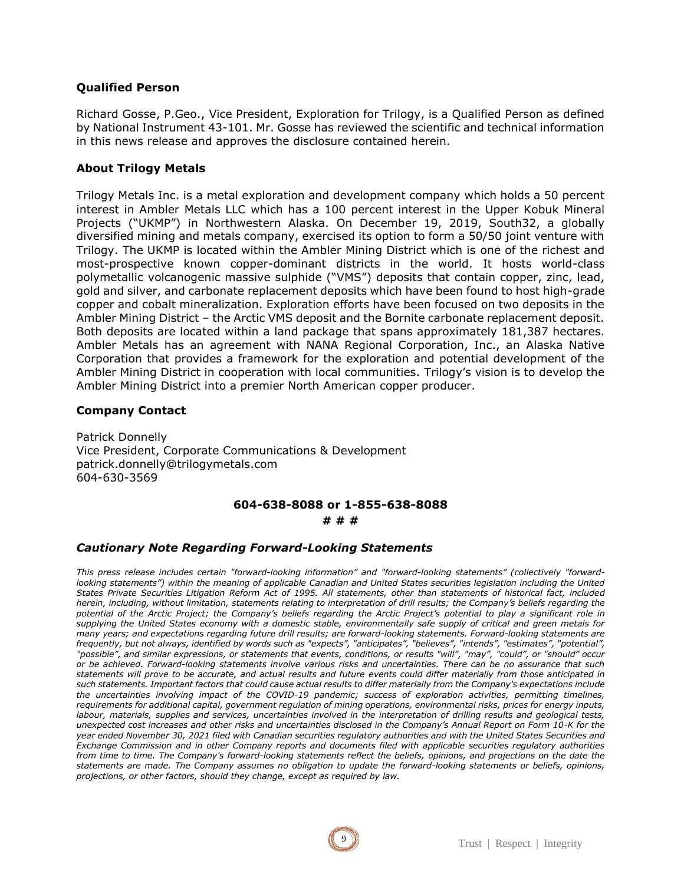#### **Qualified Person**

Richard Gosse, P.Geo., Vice President, Exploration for Trilogy, is a Qualified Person as defined by National Instrument 43-101. Mr. Gosse has reviewed the scientific and technical information in this news release and approves the disclosure contained herein.

# **About Trilogy Metals**

Trilogy Metals Inc. is a metal exploration and development company which holds a 50 percent interest in Ambler Metals LLC which has a 100 percent interest in the Upper Kobuk Mineral Projects ("UKMP") in Northwestern Alaska. On December 19, 2019, South32, a globally diversified mining and metals company, exercised its option to form a 50/50 joint venture with Trilogy. The UKMP is located within the Ambler Mining District which is one of the richest and most-prospective known copper-dominant districts in the world. It hosts world-class polymetallic volcanogenic massive sulphide ("VMS") deposits that contain copper, zinc, lead, gold and silver, and carbonate replacement deposits which have been found to host high-grade copper and cobalt mineralization. Exploration efforts have been focused on two deposits in the Ambler Mining District – the Arctic VMS deposit and the Bornite carbonate replacement deposit. Both deposits are located within a land package that spans approximately 181,387 hectares. Ambler Metals has an agreement with NANA Regional Corporation, Inc., an Alaska Native Corporation that provides a framework for the exploration and potential development of the Ambler Mining District in cooperation with local communities. Trilogy's vision is to develop the Ambler Mining District into a premier North American copper producer.

#### **Company Contact**

Patrick Donnelly Vice President, Corporate Communications & Development patrick.donnelly@trilogymetals.com 604-630-3569

#### **604-638-8088 or 1-855-638-8088**

#### **# # #**

#### *Cautionary Note Regarding Forward-Looking Statements*

*This press release includes certain "forward-looking information" and "forward-looking statements" (collectively "forwardlooking statements") within the meaning of applicable Canadian and United States securities legislation including the United States Private Securities Litigation Reform Act of 1995. All statements, other than statements of historical fact, included herein, including, without limitation, statements relating to interpretation of drill results; the Company's beliefs regarding the potential of the Arctic Project; the Company's beliefs regarding the Arctic Project's potential to play a significant role in supplying the United States economy with a domestic stable, environmentally safe supply of critical and green metals for many years; and expectations regarding future drill results; are forward-looking statements. Forward-looking statements are frequently, but not always, identified by words such as "expects", "anticipates", "believes", "intends", "estimates", "potential", "possible", and similar expressions, or statements that events, conditions, or results "will", "may", "could", or "should" occur or be achieved. Forward-looking statements involve various risks and uncertainties. There can be no assurance that such statements will prove to be accurate, and actual results and future events could differ materially from those anticipated in such statements. Important factors that could cause actual results to differ materially from the Company's expectations include the uncertainties involving impact of the COVID-19 pandemic; success of exploration activities, permitting timelines, requirements for additional capital, government regulation of mining operations, environmental risks, prices for energy inputs, labour, materials, supplies and services, uncertainties involved in the interpretation of drilling results and geological tests, unexpected cost increases and other risks and uncertainties disclosed in the Company's Annual Report on Form 10-K for the year ended November 30, 2021 filed with Canadian securities regulatory authorities and with the United States Securities and Exchange Commission and in other Company reports and documents filed with applicable securities regulatory authorities from time to time. The Company's forward-looking statements reflect the beliefs, opinions, and projections on the date the statements are made. The Company assumes no obligation to update the forward-looking statements or beliefs, opinions, projections, or other factors, should they change, except as required by law.*